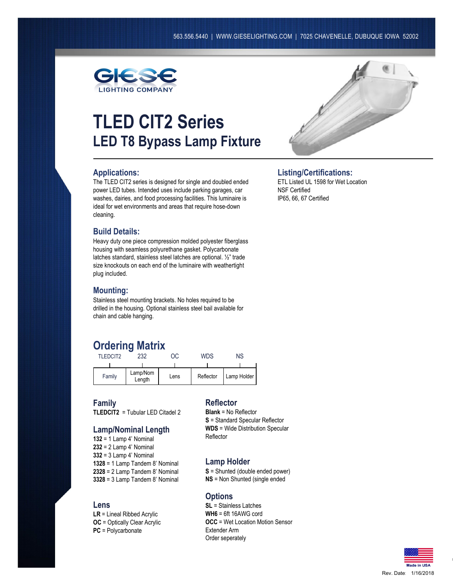

# **TLED CIT2 Series LED T8 Bypass Lamp Fixture**

#### **Applications:**

The TLED CIT2 series is designed for single and doubled ended power LED tubes. Intended uses include parking garages, car washes, dairies, and food processing facilities. This luminaire is ideal for wet environments and areas that require hose-down cleaning.

#### **Build Details:**

Heavy duty one piece compression molded polyester fiberglass housing with seamless polyurethane gasket. Polycarbonate latches standard, stainless steel latches are optional. ½" trade size knockouts on each end of the luminaire with weathertight plug included.

#### **Mounting:**

Stainless steel mounting brackets. No holes required to be drilled in the housing. Optional stainless steel bail available for chain and cable hanging.

# **Ordering Matrix**

| TI FDCIT2 | 232                |      | WDS       | ΝS          |
|-----------|--------------------|------|-----------|-------------|
|           |                    |      |           |             |
| Family    | Lamp/Nom<br>Length | Lens | Reflector | Lamp Holder |

**Family TLEDCIT2** = Tubular LED Citadel 2

### **Lamp/Nominal Length**

 = 1 Lamp 4' Nominal = 2 Lamp 4' Nominal = 3 Lamp 4' Nominal = 1 Lamp Tandem 8' Nominal = 2 Lamp Tandem 8' Nominal = 3 Lamp Tandem 8' Nominal

#### **Lens**

**LR** = Lineal Ribbed Acrylic **OC** = Optically Clear Acrylic **PC** = Polycarbonate

#### **Reflector**

**Blank** = No Reflector **S** = Standard Specular Reflector **WDS** = Wide Distribution Specular Reflector

#### **Lamp Holder**

**S** = Shunted (double ended power)

**NS** = Non Shunted (single ended

#### **Options**

**SL** = Stainless Latches **WH6** = 6ft 16AWG cord **OCC** = Wet Location Motion Sensor Extender Arm Order seperately



## **Listing/Certifications:**

ETL Listed UL 1598 for Wet Location NSF Certified IP65, 66, 67 Certified